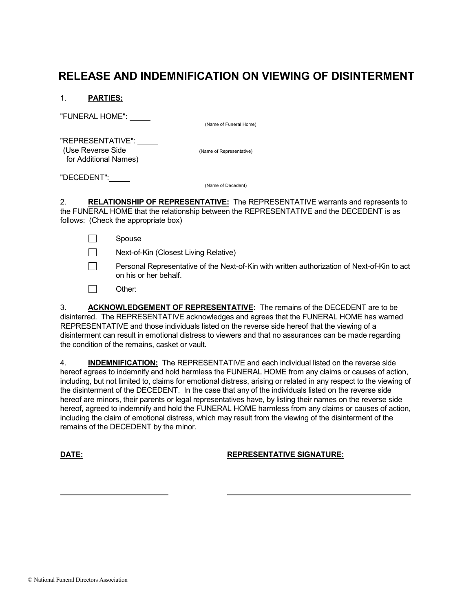## RELEASE AND INDEMNIFICATION ON VIEWING OF DISINTERMENT

1. PARTIES:

"FUNERAL HOME":

(Name of Funeral Home)

 "REPRESENTATIVE": (Use Reverse Side (Name of Representative) for Additional Names)

"DECEDENT":

(Name of Decedent)

2. RELATIONSHIP OF REPRESENTATIVE: The REPRESENTATIVE warrants and represents to the FUNERAL HOME that the relationship between the REPRESENTATIVE and the DECEDENT is as follows: (Check the appropriate box)

 $\Box$  Spouse

Next-of-Kin (Closest Living Relative)

- **Personal Representative of the Next-of-Kin with written authorization of Next-of-Kin to act** on his or her behalf.
- $\Box$  Other:

 3. ACKNOWLEDGEMENT OF REPRESENTATIVE: The remains of the DECEDENT are to be disinterred. The REPRESENTATIVE acknowledges and agrees that the FUNERAL HOME has warned REPRESENTATIVE and those individuals listed on the reverse side hereof that the viewing of a disinterment can result in emotional distress to viewers and that no assurances can be made regarding the condition of the remains, casket or vault.

 4. INDEMNIFICATION: The REPRESENTATIVE and each individual listed on the reverse side hereof agrees to indemnify and hold harmless the FUNERAL HOME from any claims or causes of action, including, but not limited to, claims for emotional distress, arising or related in any respect to the viewing of the disinterment of the DECEDENT. In the case that any of the individuals listed on the reverse side hereof are minors, their parents or legal representatives have, by listing their names on the reverse side hereof, agreed to indemnify and hold the FUNERAL HOME harmless from any claims or causes of action, including the claim of emotional distress, which may result from the viewing of the disinterment of the remains of the DECEDENT by the minor.

## DATE: REPRESENTATIVE SIGNATURE:

© National Funeral Directors Association